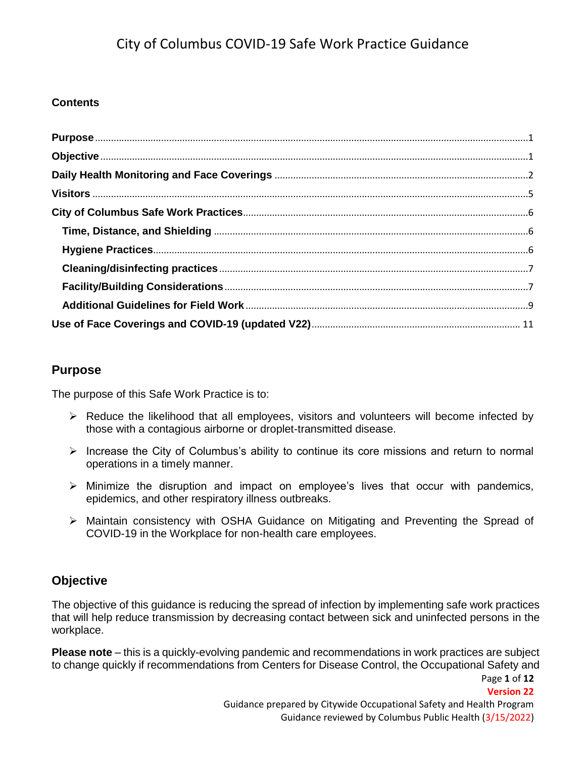# **Contents**

# <span id="page-0-0"></span>**Purpose**

The purpose of this Safe Work Practice is to:

- $\triangleright$  Reduce the likelihood that all employees, visitors and volunteers will become infected by those with a contagious airborne or droplet-transmitted disease.
- $\triangleright$  Increase the City of Columbus's ability to continue its core missions and return to normal operations in a timely manner.
- $\triangleright$  Minimize the disruption and impact on employee's lives that occur with pandemics, epidemics, and other respiratory illness outbreaks.
- Maintain consistency with OSHA Guidance on Mitigating and Preventing the Spread of COVID-19 in the Workplace for non-health care employees.

# <span id="page-0-1"></span>**Objective**

The objective of this guidance is reducing the spread of infection by implementing safe work practices that will help reduce transmission by decreasing contact between sick and uninfected persons in the workplace.

Page **1** of **12 Please note** – this is a quickly-evolving pandemic and recommendations in work practices are subject to change quickly if recommendations from Centers for Disease Control, the Occupational Safety and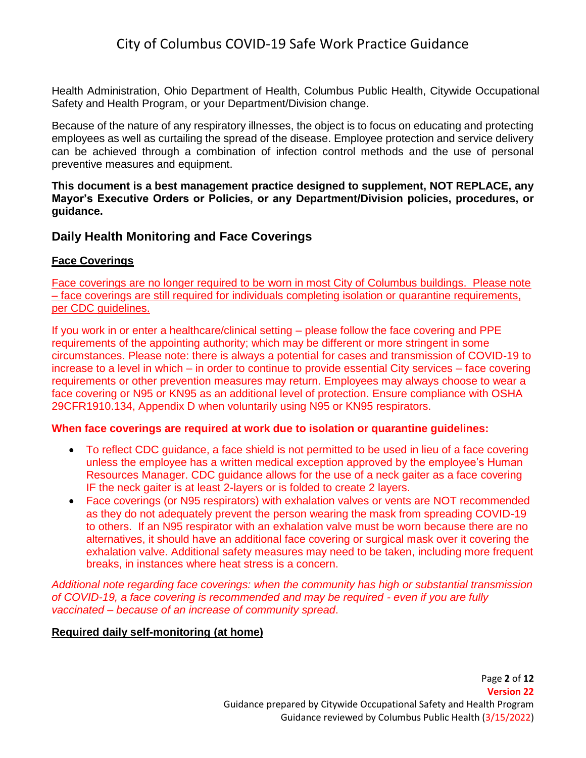Health Administration, Ohio Department of Health, Columbus Public Health, Citywide Occupational Safety and Health Program, or your Department/Division change.

Because of the nature of any respiratory illnesses, the object is to focus on educating and protecting employees as well as curtailing the spread of the disease. Employee protection and service delivery can be achieved through a combination of infection control methods and the use of personal preventive measures and equipment.

**This document is a best management practice designed to supplement, NOT REPLACE, any Mayor's Executive Orders or Policies, or any Department/Division policies, procedures, or guidance.** 

## <span id="page-1-0"></span>**Daily Health Monitoring and Face Coverings**

### **Face Coverings**

Face coverings are no longer required to be worn in most City of Columbus buildings. Please note – face coverings are still required for individuals completing isolation or quarantine requirements, per CDC guidelines.

If you work in or enter a healthcare/clinical setting – please follow the face covering and PPE requirements of the appointing authority; which may be different or more stringent in some circumstances. Please note: there is always a potential for cases and transmission of COVID-19 to increase to a level in which – in order to continue to provide essential City services – face covering requirements or other prevention measures may return. Employees may always choose to wear a face covering or N95 or KN95 as an additional level of protection. Ensure compliance with OSHA 29CFR1910.134, Appendix D when voluntarily using N95 or KN95 respirators.

### **When face coverings are required at work due to isolation or quarantine guidelines:**

- To reflect CDC guidance, a face shield is not permitted to be used in lieu of a face covering unless the employee has a written medical exception approved by the employee's Human Resources Manager. CDC guidance allows for the use of a neck gaiter as a face covering IF the neck gaiter is at least 2-layers or is folded to create 2 layers.
- Face coverings (or N95 respirators) with exhalation valves or vents are NOT recommended as they do not adequately prevent the person wearing the mask from spreading COVID-19 to others. If an N95 respirator with an exhalation valve must be worn because there are no alternatives, it should have an additional face covering or surgical mask over it covering the exhalation valve. Additional safety measures may need to be taken, including more frequent breaks, in instances where heat stress is a concern.

*Additional note regarding face coverings: when the community has high or substantial transmission of COVID-19, a face covering is recommended and may be required - even if you are fully vaccinated – because of an increase of community spread*.

### **Required daily self-monitoring (at home)**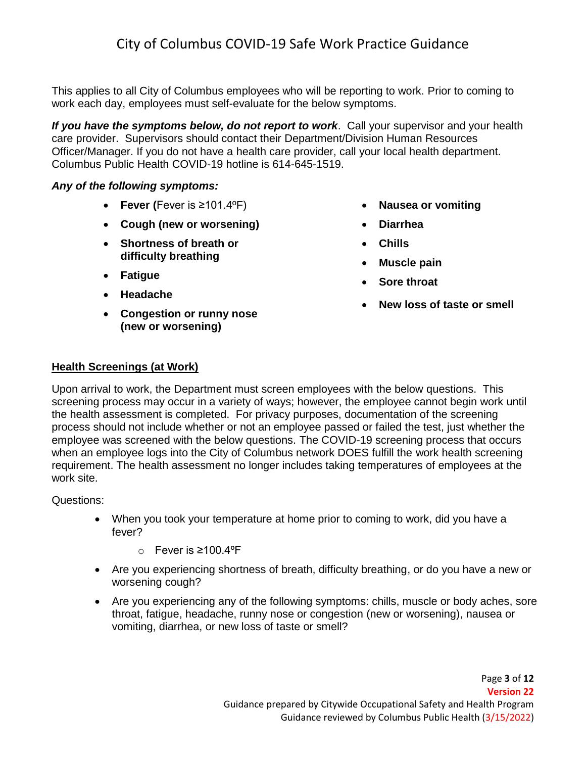This applies to all City of Columbus employees who will be reporting to work. Prior to coming to work each day, employees must self-evaluate for the below symptoms.

*If you have the symptoms below, do not report to work*. Call your supervisor and your health care provider. Supervisors should contact their Department/Division Human Resources Officer/Manager. If you do not have a health care provider, call your local health department. Columbus Public Health COVID-19 hotline is 614-645-1519.

### *Any of the following symptoms:*

- **Fever (**Fever is ≥101.4ºF)
- **Cough (new or worsening)**
- **Shortness of breath or difficulty breathing**
- **Fatigue**
- **Headache**
- **Congestion or runny nose (new or worsening)**
- **Nausea or vomiting**
- **Diarrhea**
- **Chills**
- **Muscle pain**
- **Sore throat**
- **New loss of taste or smell**

## **Health Screenings (at Work)**

Upon arrival to work, the Department must screen employees with the below questions. This screening process may occur in a variety of ways; however, the employee cannot begin work until the health assessment is completed. For privacy purposes, documentation of the screening process should not include whether or not an employee passed or failed the test, just whether the employee was screened with the below questions. The COVID-19 screening process that occurs when an employee logs into the City of Columbus network DOES fulfill the work health screening requirement. The health assessment no longer includes taking temperatures of employees at the work site.

Questions:

- When you took your temperature at home prior to coming to work, did you have a fever?
	- o Fever is ≥100.4ºF
- Are you experiencing shortness of breath, difficulty breathing, or do you have a new or worsening cough?
- Are you experiencing any of the following symptoms: chills, muscle or body aches, sore throat, fatigue, headache, runny nose or congestion (new or worsening), nausea or vomiting, diarrhea, or new loss of taste or smell?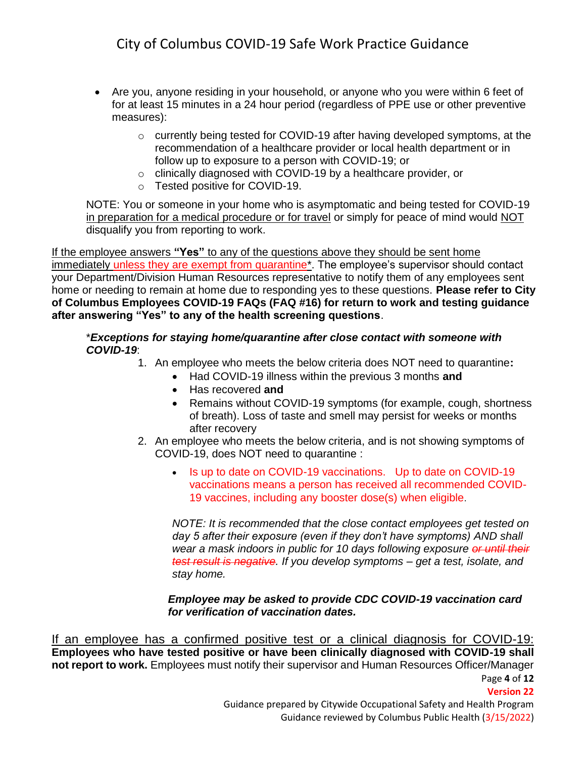- Are you, anyone residing in your household, or anyone who you were within 6 feet of for at least 15 minutes in a 24 hour period (regardless of PPE use or other preventive measures):
	- $\circ$  currently being tested for COVID-19 after having developed symptoms, at the recommendation of a healthcare provider or local health department or in follow up to exposure to a person with COVID-19; or
	- o clinically diagnosed with COVID-19 by a healthcare provider, or
	- o Tested positive for COVID-19.

NOTE: You or someone in your home who is asymptomatic and being tested for COVID-19 in preparation for a medical procedure or for travel or simply for peace of mind would NOT disqualify you from reporting to work.

If the employee answers **"Yes"** to any of the questions above they should be sent home immediately unless they are exempt from quarantine\*. The employee's supervisor should contact your Department/Division Human Resources representative to notify them of any employees sent home or needing to remain at home due to responding yes to these questions. **Please refer to City of Columbus Employees COVID-19 FAQs (FAQ #16) for return to work and testing guidance after answering "Yes" to any of the health screening questions**.

### \**Exceptions for staying home/quarantine after close contact with someone with COVID-19*:

- 1. An employee who meets the below criteria does NOT need to quarantine**:**
	- Had COVID-19 illness within the previous 3 months **and**
	- Has recovered **and**
	- Remains without COVID-19 symptoms (for example, cough, shortness of breath). Loss of taste and smell may persist for weeks or months after recovery
- 2. An employee who meets the below criteria, and is not showing symptoms of COVID-19, does NOT need to quarantine :
	- Is up to date on COVID-19 vaccinations. Up to date on COVID-19 vaccinations means a person has received all recommended COVID-19 vaccines, including any booster dose(s) when eligible.

*NOTE: It is recommended that the close contact employees get tested on day 5 after their exposure (even if they don't have symptoms) AND shall wear a mask indoors in public for 10 days following exposure or until their test result is negative. If you develop symptoms – get a test, isolate, and stay home.*

### *Employee may be asked to provide CDC COVID-19 vaccination card for verification of vaccination dates.*

Page **4** of **12 Version 22** Guidance prepared by Citywide Occupational Safety and Health Program If an employee has a confirmed positive test or a clinical diagnosis for COVID-19: **Employees who have tested positive or have been clinically diagnosed with COVID-19 shall not report to work.** Employees must notify their supervisor and Human Resources Officer/Manager

Guidance reviewed by Columbus Public Health (3/15/2022)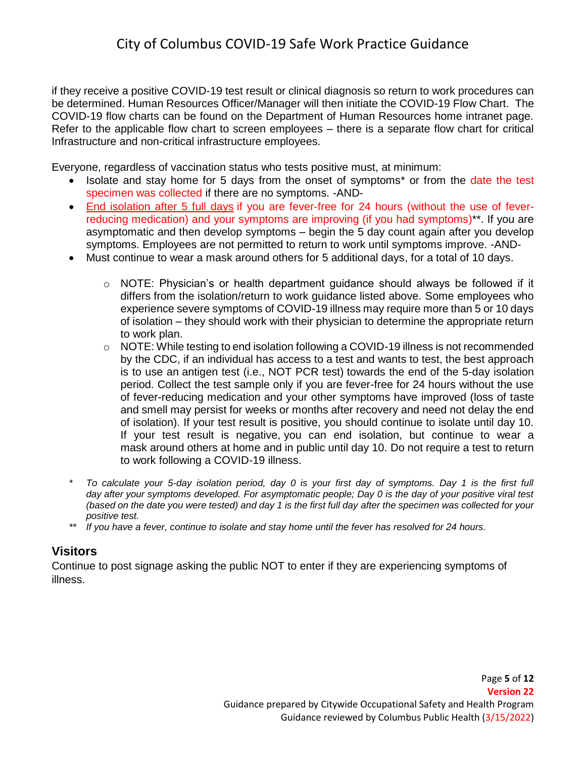if they receive a positive COVID-19 test result or clinical diagnosis so return to work procedures can be determined. Human Resources Officer/Manager will then initiate the COVID-19 Flow Chart. The COVID-19 flow charts can be found on the Department of Human Resources home intranet page. Refer to the applicable flow chart to screen employees – there is a separate flow chart for critical Infrastructure and non-critical infrastructure employees.

Everyone, regardless of vaccination status who tests positive must, at minimum:

- Isolate and stay home for 5 days from the onset of symptoms\* or from the date the test specimen was collected if there are no symptoms. -AND-
- [End isolation after 5 full days](https://www.cdc.gov/coronavirus/2019-ncov/your-health/quarantine-isolation.html#end-isolation-symptoms) if you are fever-free for 24 hours (without the use of feverreducing medication) and your symptoms are improving (if you had symptoms)\*\*. If you are asymptomatic and then develop symptoms – begin the 5 day count again after you develop symptoms. Employees are not permitted to return to work until symptoms improve. -AND-
- Must continue to wear a mask around others for 5 additional days, for a total of 10 days.
	- o NOTE: Physician's or health department guidance should always be followed if it differs from the isolation/return to work guidance listed above. Some employees who experience severe symptoms of COVID-19 illness may require more than 5 or 10 days of isolation – they should work with their physician to determine the appropriate return to work plan.
	- o NOTE: While testing to end isolation following a COVID-19 illness is not recommended by the CDC, if an individual has access to a test and wants to test, the best approach is to use an antigen test (i.e., NOT PCR test) towards the end of the 5-day isolation period. Collect the test sample only if you are fever-free for 24 hours without the use of fever-reducing medication and your other symptoms have improved (loss of taste and smell may persist for weeks or months after recovery and need not delay the end of isolation). If your test result is positive, you should continue to isolate until day 10. If your test result is negative, you can end isolation, but continue to wear a mask around others at home and in public until day 10. Do not require a test to return to work following a COVID-19 illness.
- *\* To calculate your 5-day isolation period, day 0 is your first day of symptoms. Day 1 is the first full day after your symptoms developed. For asymptomatic people; Day 0 is the day of your positive viral test (based on the date you were tested) and day 1 is the first full day after the specimen was collected for your positive test.*
- *\*\* If you have a fever, continue to isolate and stay home until the fever has resolved for 24 hours.*

# <span id="page-4-0"></span>**Visitors**

Continue to post signage asking the public NOT to enter if they are experiencing symptoms of illness.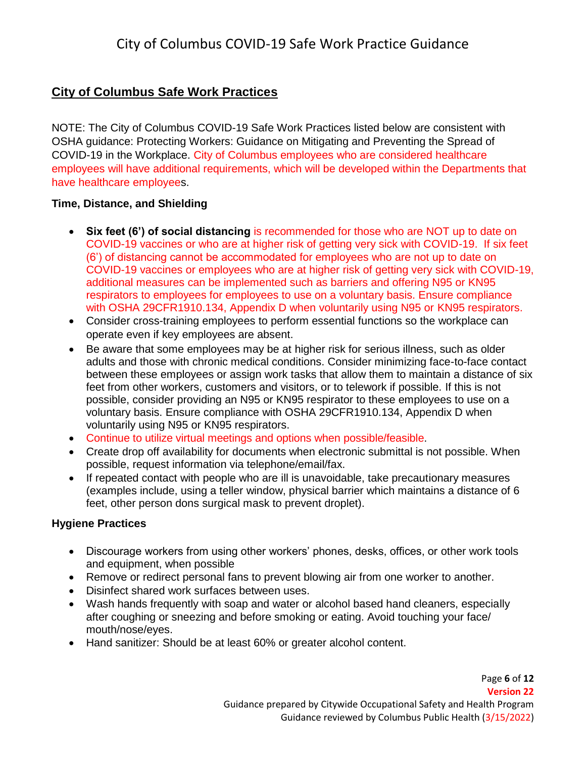# <span id="page-5-0"></span>**City of Columbus Safe Work Practices**

NOTE: The City of Columbus COVID-19 Safe Work Practices listed below are consistent with OSHA guidance: Protecting Workers: Guidance on Mitigating and Preventing the Spread of COVID-19 in the Workplace. City of Columbus employees who are considered healthcare employees will have additional requirements, which will be developed within the Departments that have healthcare employees.

# <span id="page-5-1"></span>**Time, Distance, and Shielding**

- **Six feet (6') of social distancing** is recommended for those who are NOT up to date on COVID-19 vaccines or who are at higher risk of getting very sick with COVID-19. If six feet (6') of distancing cannot be accommodated for employees who are not up to date on COVID-19 vaccines or employees who are at higher risk of getting very sick with COVID-19, additional measures can be implemented such as barriers and offering N95 or KN95 respirators to employees for employees to use on a voluntary basis. Ensure compliance with OSHA 29CFR1910.134, Appendix D when voluntarily using N95 or KN95 respirators.
- Consider cross-training employees to perform essential functions so the workplace can operate even if key employees are absent.
- Be aware that some employees may be at [higher risk for serious illness,](https://www.cdc.gov/coronavirus/2019-ncov/need-extra-precautions/people-at-higher-risk.html) such as older [adults](https://www.cdc.gov/coronavirus/2019-ncov/need-extra-precautions/older-adults.html) and those with chronic medical conditions. Consider minimizing face-to-face contact between these employees or assign work tasks that allow them to maintain a distance of six feet from other workers, customers and visitors, or to telework if possible. If this is not possible, consider providing an N95 or KN95 respirator to these employees to use on a voluntary basis. Ensure compliance with OSHA 29CFR1910.134, Appendix D when voluntarily using N95 or KN95 respirators.
- Continue to utilize virtual meetings and options when possible/feasible.
- Create drop off availability for documents when electronic submittal is not possible. When possible, request information via telephone/email/fax.
- If repeated contact with people who are ill is unavoidable, take precautionary measures (examples include, using a teller window, physical barrier which maintains a distance of 6 feet, other person dons surgical mask to prevent droplet).

## <span id="page-5-2"></span>**Hygiene Practices**

- Discourage workers from using other workers' phones, desks, offices, or other work tools and equipment, when possible
- Remove or redirect personal fans to prevent blowing air from one worker to another.
- Disinfect shared work surfaces between uses.
- Wash hands frequently with soap and water or alcohol based hand cleaners, especially after coughing or sneezing and before smoking or eating. Avoid touching your face/ mouth/nose/eyes.
- Hand sanitizer: Should be at least 60% or greater alcohol content.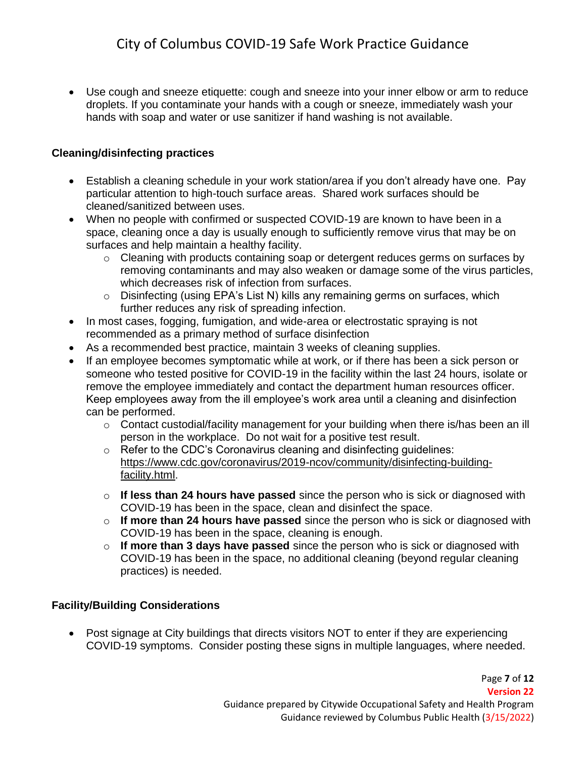Use cough and sneeze etiquette: cough and sneeze into your inner elbow or arm to reduce droplets. If you contaminate your hands with a cough or sneeze, immediately wash your hands with soap and water or use sanitizer if hand washing is not available.

# <span id="page-6-0"></span>**Cleaning/disinfecting practices**

- Establish a cleaning schedule in your work station/area if you don't already have one. Pay particular attention to high-touch surface areas. Shared work surfaces should be cleaned/sanitized between uses.
- When no people with confirmed or suspected COVID-19 are known to have been in a space, cleaning once a day is usually enough to sufficiently remove virus that may be on surfaces and help maintain a healthy facility.
	- $\circ$  Cleaning with products containing soap or detergent reduces germs on surfaces by removing contaminants and may also weaken or damage some of the virus particles, which decreases risk of infection from surfaces.
	- $\circ$  Disinfecting (using EPA's List N) kills any remaining germs on surfaces, which further reduces any risk of spreading infection.
- In most cases, fogging, fumigation, and wide-area or electrostatic spraying is not recommended as a primary method of surface disinfection
- As a recommended best practice, maintain 3 weeks of cleaning supplies.
- If an employee becomes symptomatic while at work, or if there has been a sick person or someone who tested positive for COVID-19 in the facility within the last 24 hours, isolate or remove the employee immediately and contact the department human resources officer. Keep employees away from the ill employee's work area until a cleaning and disinfection can be performed.
	- $\circ$  Contact custodial/facility management for your building when there is/has been an ill person in the workplace. Do not wait for a positive test result.
	- o Refer to the CDC's Coronavirus cleaning and disinfecting guidelines: [https://www.cdc.gov/coronavirus/2019-ncov/community/disinfecting-building](https://www.cdc.gov/coronavirus/2019-ncov/community/disinfecting-building-facility.html)[facility.html.](https://www.cdc.gov/coronavirus/2019-ncov/community/disinfecting-building-facility.html)
	- o **If less than 24 hours have passed** since the person who is sick or diagnosed with COVID-19 has been in the space, clean and disinfect the space.
	- o **If more than 24 hours have passed** since the person who is sick or diagnosed with COVID-19 has been in the space, cleaning is enough.
	- o **If more than 3 days have passed** since the person who is sick or diagnosed with COVID-19 has been in the space, no additional cleaning (beyond regular cleaning practices) is needed.

## <span id="page-6-1"></span>**Facility/Building Considerations**

 Post signage at City buildings that directs visitors NOT to enter if they are experiencing COVID-19 symptoms. Consider posting these signs in multiple languages, where needed.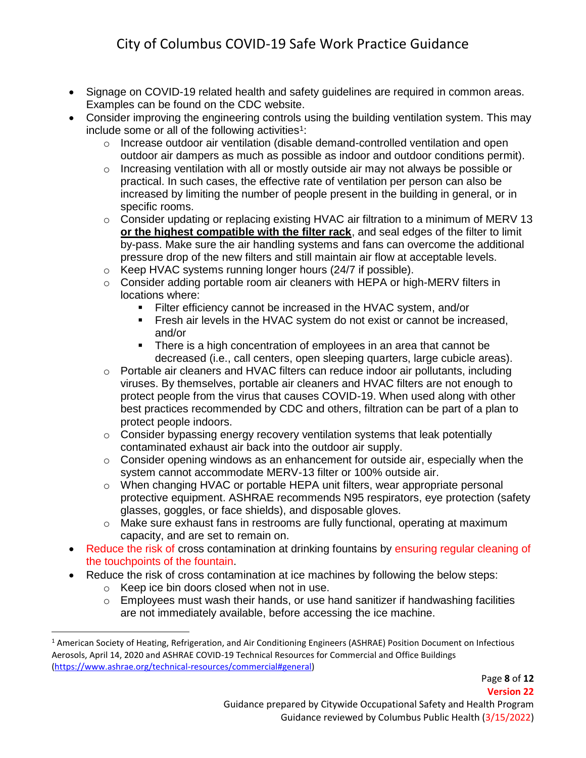- Signage on COVID-19 related health and safety guidelines are required in common areas. Examples can be found on the CDC website.
- Consider improving the engineering controls using the building ventilation system. This may include some or all of the following activities<sup>1</sup>:
	- $\circ$  Increase outdoor air ventilation (disable demand-controlled ventilation and open outdoor air dampers as much as possible as indoor and outdoor conditions permit).
	- o Increasing ventilation with all or mostly outside air may not always be possible or practical. In such cases, the effective rate of ventilation per person can also be increased by limiting the number of people present in the building in general, or in specific rooms.
	- $\circ$  Consider updating or replacing existing HVAC air filtration to a minimum of MERV 13 **or the highest compatible with the filter rack**, and seal edges of the filter to limit by-pass. Make sure the air handling systems and fans can overcome the additional pressure drop of the new filters and still maintain air flow at acceptable levels.
	- $\circ$  Keep HVAC systems running longer hours (24/7 if possible).
	- $\circ$  Consider adding portable room air cleaners with HEPA or high-MERV filters in locations where:
		- Filter efficiency cannot be increased in the HVAC system, and/or
		- Fresh air levels in the HVAC system do not exist or cannot be increased, and/or
		- There is a high concentration of employees in an area that cannot be decreased (i.e., call centers, open sleeping quarters, large cubicle areas).
	- $\circ$  Portable air cleaners and HVAC filters can reduce indoor air pollutants, including viruses. By themselves, portable air cleaners and HVAC filters are not enough to protect people from the virus that causes COVID-19. When used along with other best practices recommended by CDC and others, filtration can be part of a plan to protect people indoors.
	- $\circ$  Consider bypassing energy recovery ventilation systems that leak potentially contaminated exhaust air back into the outdoor air supply.
	- $\circ$  Consider opening windows as an enhancement for outside air, especially when the system cannot accommodate MERV-13 filter or 100% outside air.
	- o When changing HVAC or portable HEPA unit filters, wear appropriate personal protective equipment. ASHRAE recommends N95 respirators, eye protection (safety glasses, goggles, or face shields), and disposable gloves.
	- o Make sure exhaust fans in restrooms are fully functional, operating at maximum capacity, and are set to remain on.
- Reduce the risk of cross contamination at drinking fountains by ensuring regular cleaning of the touchpoints of the fountain.
- Reduce the risk of cross contamination at ice machines by following the below steps:
	- o Keep ice bin doors closed when not in use.

l

o Employees must wash their hands, or use hand sanitizer if handwashing facilities are not immediately available, before accessing the ice machine.

<sup>&</sup>lt;sup>1</sup> American Society of Heating, Refrigeration, and Air Conditioning Engineers (ASHRAE) Position Document on Infectious Aerosols, April 14, 2020 and ASHRAE COVID-19 Technical Resources for Commercial and Office Buildings [\(https://www.ashrae.org/technical-resources/commercial#general\)](https://www.ashrae.org/technical-resources/commercial#general)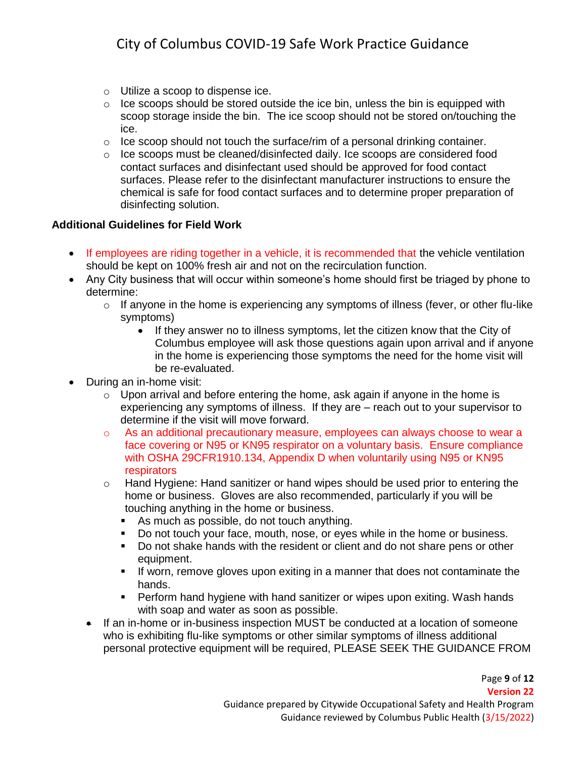- o Utilize a scoop to dispense ice.
- $\circ$  Ice scoops should be stored outside the ice bin, unless the bin is equipped with scoop storage inside the bin. The ice scoop should not be stored on/touching the ice.
- $\circ$  Ice scoop should not touch the surface/rim of a personal drinking container.
- $\circ$  Ice scoops must be cleaned/disinfected daily. Ice scoops are considered food contact surfaces and disinfectant used should be approved for food contact surfaces. Please refer to the disinfectant manufacturer instructions to ensure the chemical is safe for food contact surfaces and to determine proper preparation of disinfecting solution.

### <span id="page-8-0"></span>**Additional Guidelines for Field Work**

- If employees are riding together in a vehicle, it is recommended that the vehicle ventilation should be kept on 100% fresh air and not on the recirculation function.
- Any City business that will occur within someone's home should first be triaged by phone to determine:
	- $\circ$  If anyone in the home is experiencing any symptoms of illness (fever, or other flu-like symptoms)
		- If they answer no to illness symptoms, let the citizen know that the City of Columbus employee will ask those questions again upon arrival and if anyone in the home is experiencing those symptoms the need for the home visit will be re-evaluated.
- During an in-home visit:
	- $\circ$  Upon arrival and before entering the home, ask again if anyone in the home is experiencing any symptoms of illness. If they are – reach out to your supervisor to determine if the visit will move forward.
	- $\circ$  As an additional precautionary measure, employees can always choose to wear a face covering or N95 or KN95 respirator on a voluntary basis. Ensure compliance with OSHA 29CFR1910.134, Appendix D when voluntarily using N95 or KN95 respirators
	- $\circ$  Hand Hygiene: Hand sanitizer or hand wipes should be used prior to entering the home or business. Gloves are also recommended, particularly if you will be touching anything in the home or business.
		- As much as possible, do not touch anything.
		- Do not touch your face, mouth, nose, or eyes while in the home or business.
		- Do not shake hands with the resident or client and do not share pens or other equipment.
		- **If worn, remove gloves upon exiting in a manner that does not contaminate the** hands.
		- Perform hand hygiene with hand sanitizer or wipes upon exiting. Wash hands with soap and water as soon as possible.
	- If an in-home or in-business inspection MUST be conducted at a location of someone who is exhibiting flu-like symptoms or other similar symptoms of illness additional personal protective equipment will be required, PLEASE SEEK THE GUIDANCE FROM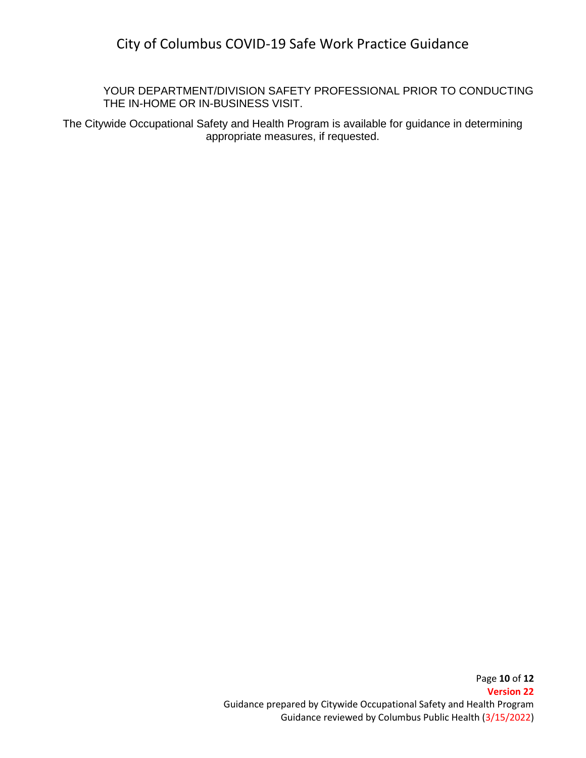YOUR DEPARTMENT/DIVISION SAFETY PROFESSIONAL PRIOR TO CONDUCTING THE IN-HOME OR IN-BUSINESS VISIT.

The Citywide Occupational Safety and Health Program is available for guidance in determining appropriate measures, if requested.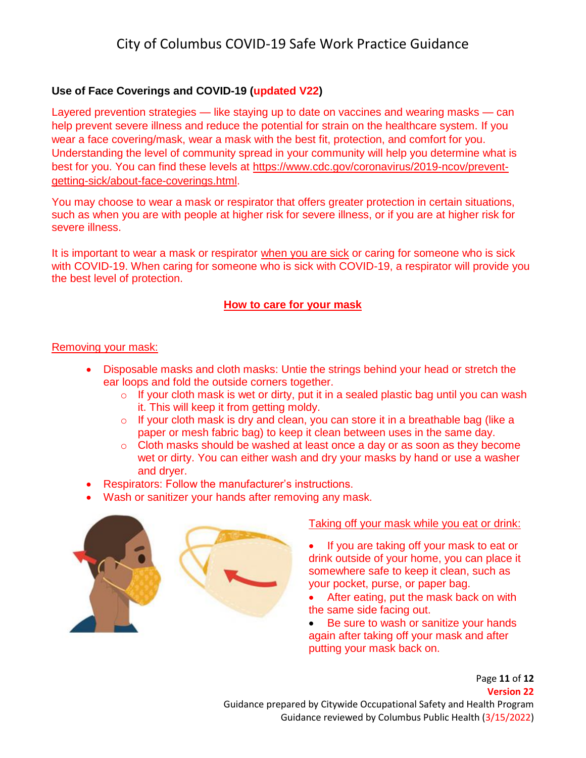## <span id="page-10-0"></span>**Use of Face Coverings and COVID-19 (updated V22)**

Layered prevention strategies — like staying up to date on vaccines and wearing masks — can help prevent severe illness and reduce the potential for strain on the healthcare system. If you wear a face covering/mask, wear a mask with the best fit, protection, and comfort for you. Understanding the level of community spread in your community will help you determine what is best for you. You can find these levels at [https://www.cdc.gov/coronavirus/2019-ncov/prevent](https://www.cdc.gov/coronavirus/2019-ncov/prevent-getting-sick/about-face-coverings.html)[getting-sick/about-face-coverings.html.](https://www.cdc.gov/coronavirus/2019-ncov/prevent-getting-sick/about-face-coverings.html)

You may choose to wear a mask or respirator that offers greater protection in certain situations, such as when you are with people at higher risk for severe illness, or if you are at higher risk for severe illness.

It is important to wear a mask or respirator [when you are sick](https://www.cdc.gov/coronavirus/2019-ncov/if-you-are-sick/steps-when-sick.html) or caring for someone who is sick with COVID-19. When caring for someone who is sick with COVID-19, a respirator will provide you the best level of protection.

### **How to care for your mask**

### Removing your mask:

- Disposable masks and cloth masks: Untie the strings behind your head or stretch the ear loops and fold the outside corners together.
	- o If your cloth mask is wet or dirty, put it in a sealed plastic bag until you can wash it. This will keep it from getting moldy.
	- o If your cloth mask is dry and clean, you can store it in a breathable bag (like a paper or mesh fabric bag) to keep it clean between uses in the same day.
	- $\circ$  Cloth masks should be washed at least once a day or as soon as they become wet or dirty. You can either wash and dry your masks by hand or use a washer and dryer.
- Respirators: Follow the manufacturer's instructions.
- Wash or sanitizer your hands after removing any mask.



### Taking off your mask while you eat or drink:

 If you are taking off your mask to eat or drink outside of your home, you can place it somewhere safe to keep it clean, such as your pocket, purse, or paper bag.

- After eating, put the mask back on with the same side facing out.
- Be sure to wash or sanitize your hands again after taking off your mask and after putting your mask back on.